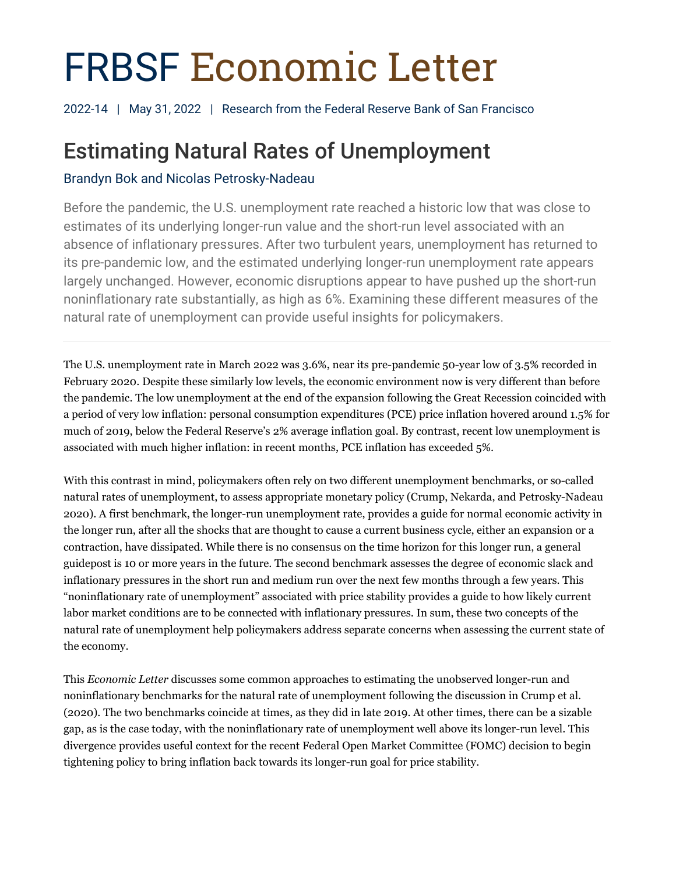# FRBSF Economic Letter

2022-14 | May 31, 2022 | Research from the Federal Reserve Bank of San Francisco

# Estimating Natural Rates of Unemployment

# Brandyn Bok and Nicolas Petrosky-Nadeau

Before the pandemic, the U.S. unemployment rate reached a historic low that was close to estimates of its underlying longer-run value and the short-run level associated with an absence of inflationary pressures. After two turbulent years, unemployment has returned to its pre-pandemic low, and the estimated underlying longer-run unemployment rate appears largely unchanged. However, economic disruptions appear to have pushed up the short-run noninflationary rate substantially, as high as 6%. Examining these different measures of the natural rate of unemployment can provide useful insights for policymakers.

The U.S. unemployment rate in March 2022 was 3.6%, near its pre-pandemic 50-year low of 3.5% recorded in February 2020. Despite these similarly low levels, the economic environment now is very different than before the pandemic. The low unemployment at the end of the expansion following the Great Recession coincided with a period of very low inflation: personal consumption expenditures (PCE) price inflation hovered around 1.5% for much of 2019, below the Federal Reserve's 2% average inflation goal. By contrast, recent low unemployment is associated with much higher inflation: in recent months, PCE inflation has exceeded 5%.

With this contrast in mind, policymakers often rely on two different unemployment benchmarks, or so-called natural rates of unemployment, to assess appropriate monetary policy (Crump, Nekarda, and Petrosky-Nadeau 2020). A first benchmark, the longer-run unemployment rate, provides a guide for normal economic activity in the longer run, after all the shocks that are thought to cause a current business cycle, either an expansion or a contraction, have dissipated. While there is no consensus on the time horizon for this longer run, a general guidepost is 10 or more years in the future. The second benchmark assesses the degree of economic slack and inflationary pressures in the short run and medium run over the next few months through a few years. This "noninflationary rate of unemployment" associated with price stability provides a guide to how likely current labor market conditions are to be connected with inflationary pressures. In sum, these two concepts of the natural rate of unemployment help policymakers address separate concerns when assessing the current state of the economy.

This *Economic Letter* discusses some common approaches to estimating the unobserved longer-run and noninflationary benchmarks for the natural rate of unemployment following the discussion in Crump et al. (2020). The two benchmarks coincide at times, as they did in late 2019. At other times, there can be a sizable gap, as is the case today, with the noninflationary rate of unemployment well above its longer-run level. This divergence provides useful context for the recent Federal Open Market Committee (FOMC) decision to begin tightening policy to bring inflation back towards its longer-run goal for price stability.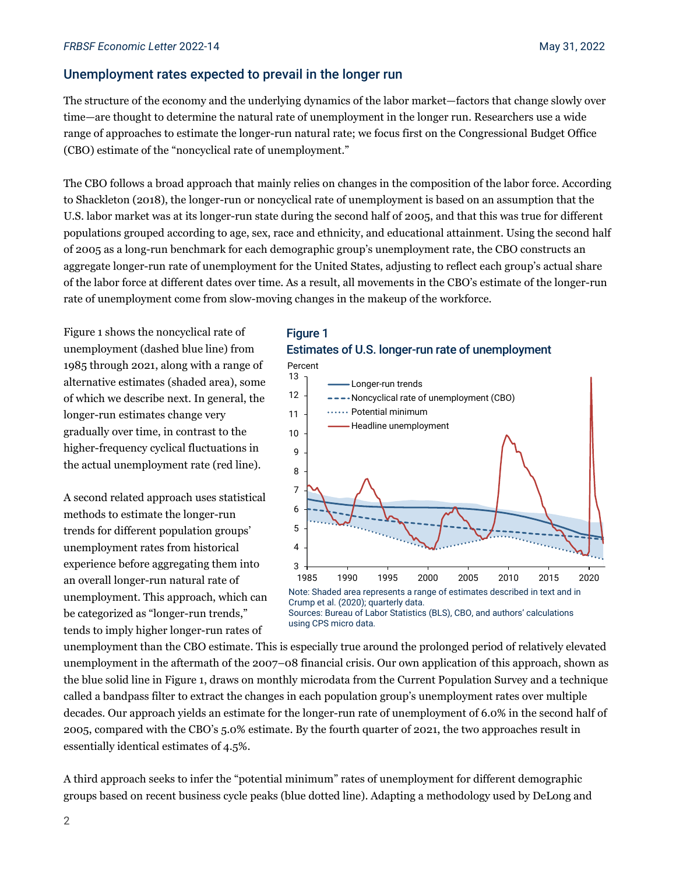# Unemployment rates expected to prevail in the longer run

The structure of the economy and the underlying dynamics of the labor market—factors that change slowly over time—are thought to determine the natural rate of unemployment in the longer run. Researchers use a wide range of approaches to estimate the longer-run natural rate; we focus first on the Congressional Budget Office (CBO) estimate of the "noncyclical rate of unemployment."

The CBO follows a broad approach that mainly relies on changes in the composition of the labor force. According to Shackleton (2018), the longer-run or noncyclical rate of unemployment is based on an assumption that the U.S. labor market was at its longer-run state during the second half of 2005, and that this was true for different populations grouped according to age, sex, race and ethnicity, and educational attainment. Using the second half of 2005 as a long-run benchmark for each demographic group's unemployment rate, the CBO constructs an aggregate longer-run rate of unemployment for the United States, adjusting to reflect each group's actual share of the labor force at different dates over time. As a result, all movements in the CBO's estimate of the longer-run rate of unemployment come from slow-moving changes in the makeup of the workforce.

Figure 1 shows the noncyclical rate of unemployment (dashed blue line) from 1985 through 2021, along with a range of alternative estimates (shaded area), some of which we describe next. In general, the longer-run estimates change very gradually over time, in contrast to the higher-frequency cyclical fluctuations in the actual unemployment rate (red line).

A second related approach uses statistical methods to estimate the longer-run trends for different population groups' unemployment rates from historical experience before aggregating them into an overall longer-run natural rate of unemployment. This approach, which can be categorized as "longer-run trends," tends to imply higher longer-run rates of





unemployment than the CBO estimate. This is especially true around the prolonged period of relatively elevated unemployment in the aftermath of the 2007–08 financial crisis. Our own application of this approach, shown as the blue solid line in Figure 1, draws on monthly microdata from the Current Population Survey and a technique called a bandpass filter to extract the changes in each population group's unemployment rates over multiple decades. Our approach yields an estimate for the longer-run rate of unemployment of 6.0% in the second half of 2005, compared with the CBO's 5.0% estimate. By the fourth quarter of 2021, the two approaches result in essentially identical estimates of 4.5%.

A third approach seeks to infer the "potential minimum" rates of unemployment for different demographic groups based on recent business cycle peaks (blue dotted line). Adapting a methodology used by DeLong and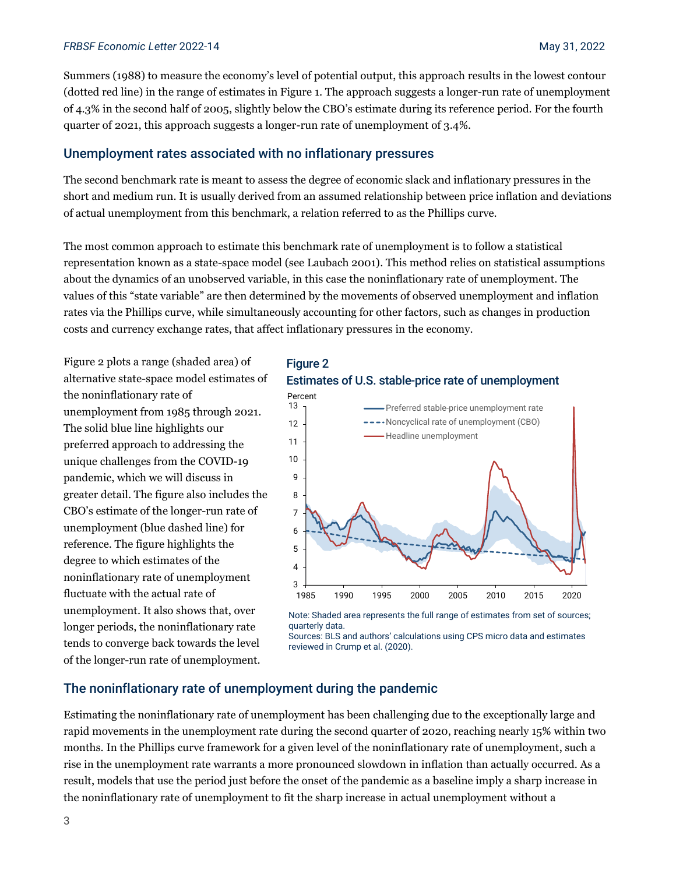#### *FRBSF Economic Letter* 2022-14 May 31, 2022

Summers (1988) to measure the economy's level of potential output, this approach results in the lowest contour (dotted red line) in the range of estimates in Figure 1. The approach suggests a longer-run rate of unemployment of 4.3% in the second half of 2005, slightly below the CBO's estimate during its reference period. For the fourth quarter of 2021, this approach suggests a longer-run rate of unemployment of 3.4%.

## Unemployment rates associated with no inflationary pressures

The second benchmark rate is meant to assess the degree of economic slack and inflationary pressures in the short and medium run. It is usually derived from an assumed relationship between price inflation and deviations of actual unemployment from this benchmark, a relation referred to as the Phillips curve.

The most common approach to estimate this benchmark rate of unemployment is to follow a statistical representation known as a state-space model (see Laubach 2001). This method relies on statistical assumptions about the dynamics of an unobserved variable, in this case the noninflationary rate of unemployment. The values of this "state variable" are then determined by the movements of observed unemployment and inflation rates via the Phillips curve, while simultaneously accounting for other factors, such as changes in production costs and currency exchange rates, that affect inflationary pressures in the economy.

Figure 2 plots a range (shaded area) of alternative state-space model estimates of the noninflationary rate of unemployment from 1985 through 2021. The solid blue line highlights our preferred approach to addressing the unique challenges from the COVID-19 pandemic, which we will discuss in greater detail. The figure also includes the CBO's estimate of the longer-run rate of unemployment (blue dashed line) for reference. The figure highlights the degree to which estimates of the noninflationary rate of unemployment fluctuate with the actual rate of unemployment. It also shows that, over longer periods, the noninflationary rate tends to converge back towards the level of the longer-run rate of unemployment.

# Figure 2 Estimates of U.S. stable-price rate of unemployment



Note: Shaded area represents the full range of estimates from set of sources; quarterly data.

# The noninflationary rate of unemployment during the pandemic

Estimating the noninflationary rate of unemployment has been challenging due to the exceptionally large and rapid movements in the unemployment rate during the second quarter of 2020, reaching nearly 15% within two months. In the Phillips curve framework for a given level of the noninflationary rate of unemployment, such a rise in the unemployment rate warrants a more pronounced slowdown in inflation than actually occurred. As a result, models that use the period just before the onset of the pandemic as a baseline imply a sharp increase in the noninflationary rate of unemployment to fit the sharp increase in actual unemployment without a

Sources: BLS and authors' calculations using CPS micro data and estimates reviewed in Crump et al. (2020).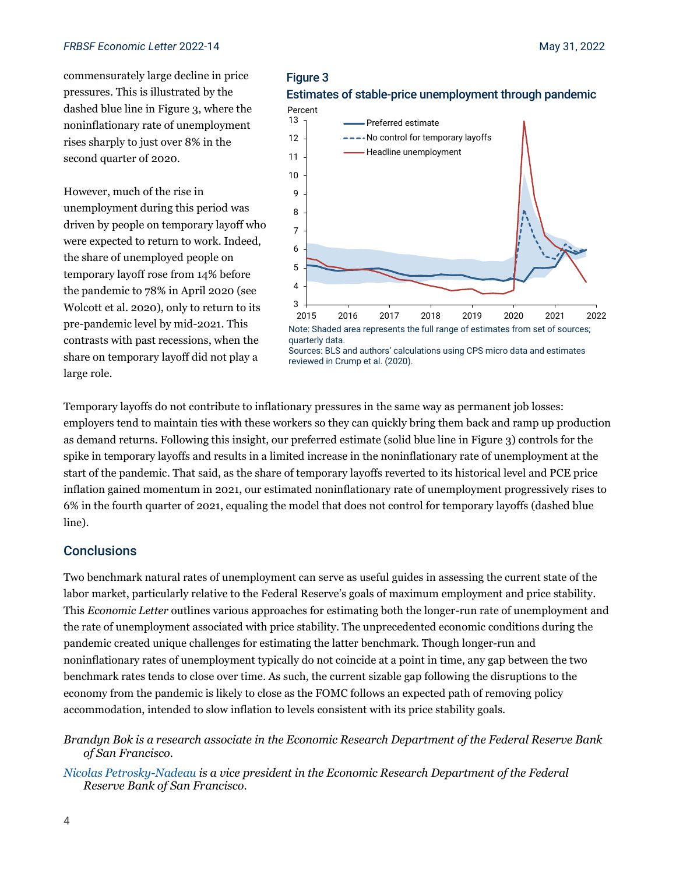commensurately large decline in price pressures. This is illustrated by the dashed blue line in Figure 3, where the noninflationary rate of unemployment rises sharply to just over 8% in the second quarter of 2020.

However, much of the rise in unemployment during this period was driven by people on temporary layoff who were expected to return to work. Indeed, the share of unemployed people on temporary layoff rose from 14% before the pandemic to 78% in April 2020 (see Wolcott et al. 2020), only to return to its pre-pandemic level by mid-2021. This contrasts with past recessions, when the share on temporary layoff did not play a large role.





Sources: BLS and authors' calculations using CPS micro data and estimates reviewed in Crump et al. (2020).

Temporary layoffs do not contribute to inflationary pressures in the same way as permanent job losses: employers tend to maintain ties with these workers so they can quickly bring them back and ramp up production as demand returns. Following this insight, our preferred estimate (solid blue line in Figure 3) controls for the spike in temporary layoffs and results in a limited increase in the noninflationary rate of unemployment at the start of the pandemic. That said, as the share of temporary layoffs reverted to its historical level and PCE price inflation gained momentum in 2021, our estimated noninflationary rate of unemployment progressively rises to 6% in the fourth quarter of 2021, equaling the model that does not control for temporary layoffs (dashed blue line).

# **Conclusions**

Two benchmark natural rates of unemployment can serve as useful guides in assessing the current state of the labor market, particularly relative to the Federal Reserve's goals of maximum employment and price stability. This *Economic Letter* outlines various approaches for estimating both the longer-run rate of unemployment and the rate of unemployment associated with price stability. The unprecedented economic conditions during the pandemic created unique challenges for estimating the latter benchmark. Though longer-run and noninflationary rates of unemployment typically do not coincide at a point in time, any gap between the two benchmark rates tends to close over time. As such, the current sizable gap following the disruptions to the economy from the pandemic is likely to close as the FOMC follows an expected path of removing policy accommodation, intended to slow inflation to levels consistent with its price stability goals.

*Brandyn Bok is a research associate in the Economic Research Department of the Federal Reserve Bank of San Francisco.*

*[Nicolas Petrosky-Nadeau](https://www.frbsf.org/economic-research/economists/nicolas-petrosky-nadeau/) is a vice president in the Economic Research Department of the Federal Reserve Bank of San Francisco.*